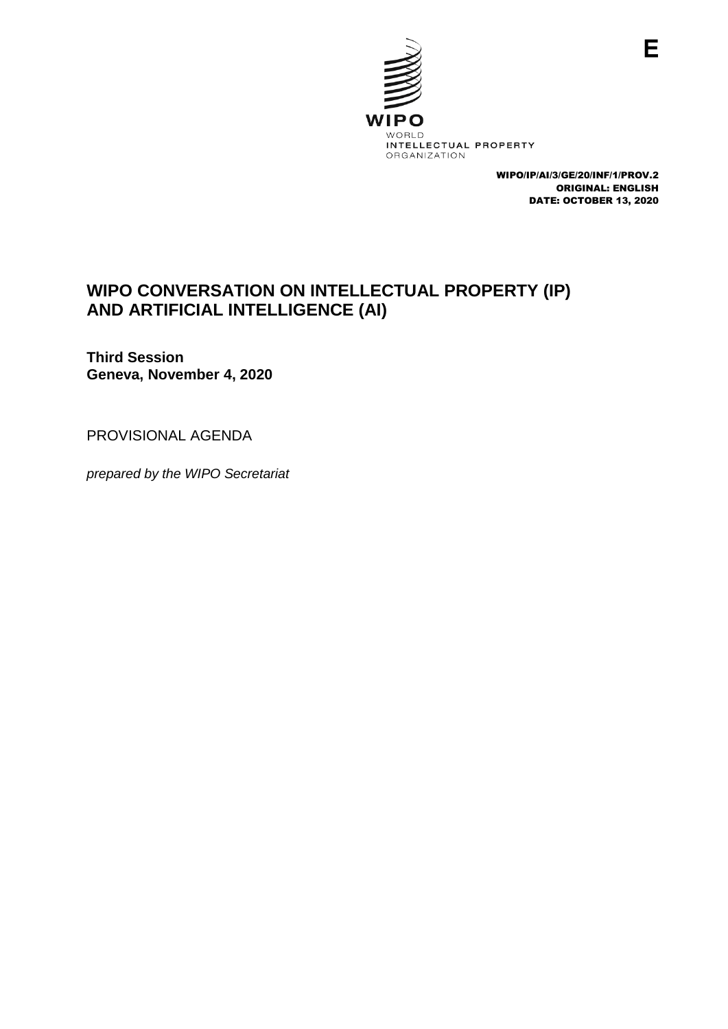

WIPO/IP/AI/3/GE/20/INF/1/PROV.2 ORIGINAL: ENGLISH DATE: OCTOBER 13, 2020

## **WIPO CONVERSATION ON INTELLECTUAL PROPERTY (IP) AND ARTIFICIAL INTELLIGENCE (AI)**

**Third Session Geneva, November 4, 2020**

PROVISIONAL AGENDA

*prepared by the WIPO Secretariat*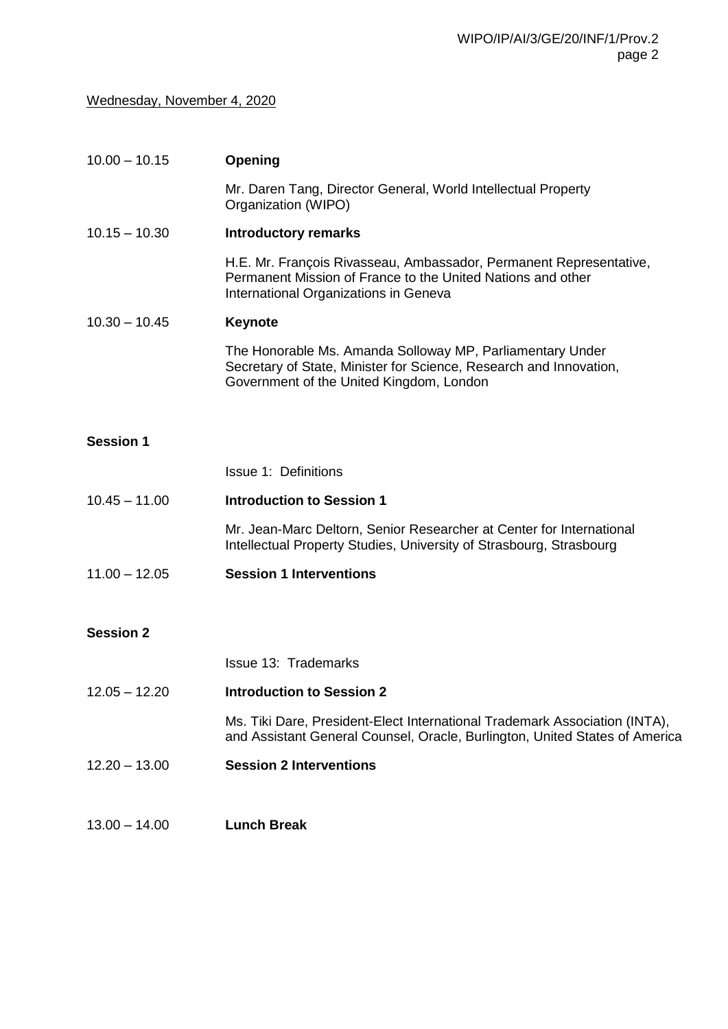## Wednesday, November 4, 2020

| $10.00 - 10.15$  | Opening                                                                                                                                                                     |
|------------------|-----------------------------------------------------------------------------------------------------------------------------------------------------------------------------|
|                  | Mr. Daren Tang, Director General, World Intellectual Property<br>Organization (WIPO)                                                                                        |
| $10.15 - 10.30$  | <b>Introductory remarks</b>                                                                                                                                                 |
|                  | H.E. Mr. François Rivasseau, Ambassador, Permanent Representative,<br>Permanent Mission of France to the United Nations and other<br>International Organizations in Geneva  |
| $10.30 - 10.45$  | <b>Keynote</b>                                                                                                                                                              |
|                  | The Honorable Ms. Amanda Solloway MP, Parliamentary Under<br>Secretary of State, Minister for Science, Research and Innovation,<br>Government of the United Kingdom, London |
|                  |                                                                                                                                                                             |
| <b>Session 1</b> |                                                                                                                                                                             |
|                  | <b>Issue 1: Definitions</b>                                                                                                                                                 |
| $10.45 - 11.00$  | <b>Introduction to Session 1</b>                                                                                                                                            |
|                  | Mr. Jean-Marc Deltorn, Senior Researcher at Center for International<br>Intellectual Property Studies, University of Strasbourg, Strasbourg                                 |
| $11.00 - 12.05$  | <b>Session 1 Interventions</b>                                                                                                                                              |
| <b>Session 2</b> |                                                                                                                                                                             |
|                  | <b>Issue 13: Trademarks</b>                                                                                                                                                 |
| $12.05 - 12.20$  | <b>Introduction to Session 2</b>                                                                                                                                            |
|                  | Ms. Tiki Dare, President-Elect International Trademark Association (INTA),<br>and Assistant General Counsel, Oracle, Burlington, United States of America                   |
| $12.20 - 13.00$  | <b>Session 2 Interventions</b>                                                                                                                                              |
| $13.00 - 14.00$  | <b>Lunch Break</b>                                                                                                                                                          |